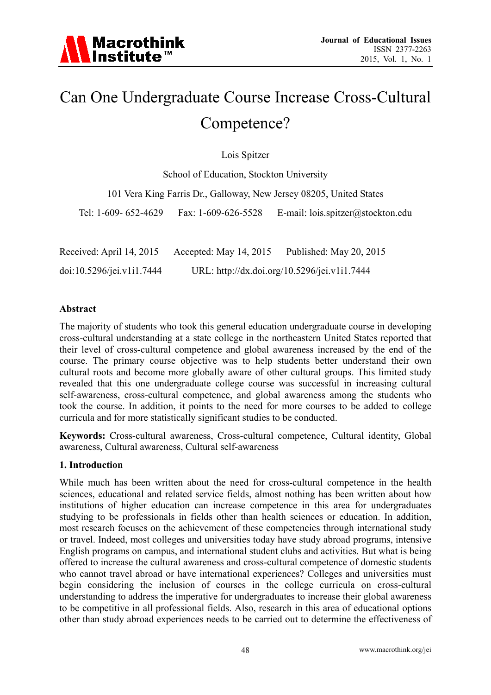# Can One Undergraduate Course Increase Cross-Cultural Competence?

Lois Spitzer

School of Education, Stockton University 101 Vera King Farris Dr., Galloway, New Jersey 08205, United States Tel: 1-609- 652-4629 Fax: 1-609-626-5528 E-mail: lois.spitzer@stockton.edu

Received: April 14, 2015 Accepted: May 14, 2015 Published: May 20, 2015 doi:10.5296/jei.v1i1.7444 URL: http://dx.doi.org/10.5296/jei.v1i1.7444

#### **Abstract**

The majority of students who took this general education undergraduate course in developing cross-cultural understanding at a state college in the northeastern United States reported that their level of cross-cultural competence and global awareness increased by the end of the course. The primary course objective was to help students better understand their own cultural roots and become more globally aware of other cultural groups. This limited study revealed that this one undergraduate college course was successful in increasing cultural self-awareness, cross-cultural competence, and global awareness among the students who took the course. In addition, it points to the need for more courses to be added to college curricula and for more statistically significant studies to be conducted.

**Keywords:** Cross-cultural awareness, Cross-cultural competence, Cultural identity, Global awareness, Cultural awareness, Cultural self-awareness

# **1. Introduction**

While much has been written about the need for cross-cultural competence in the health sciences, educational and related service fields, almost nothing has been written about how institutions of higher education can increase competence in this area for undergraduates studying to be professionals in fields other than health sciences or education. In addition, most research focuses on the achievement of these competencies through international study or travel. Indeed, most colleges and universities today have study abroad programs, intensive English programs on campus, and international student clubs and activities. But what is being offered to increase the cultural awareness and cross-cultural competence of domestic students who cannot travel abroad or have international experiences? Colleges and universities must begin considering the inclusion of courses in the college curricula on cross-cultural understanding to address the imperative for undergraduates to increase their global awareness to be competitive in all professional fields. Also, research in this area of educational options other than study abroad experiences needs to be carried out to determine the effectiveness of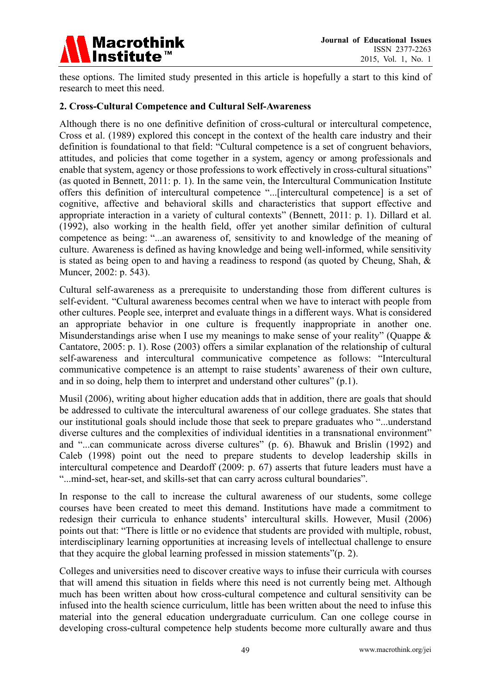

these options. The limited study presented in this article is hopefully a start to this kind of research to meet this need.

#### **2. Cross-Cultural Competence and Cultural Self-Awareness**

Although there is no one definitive definition of cross-cultural or intercultural competence, Cross et al. (1989) explored this concept in the context of the health care industry and their definition is foundational to that field: "Cultural competence is a set of congruent behaviors, attitudes, and policies that come together in a system, agency or among professionals and enable that system, agency or those professions to work effectively in cross-cultural situations" (as quoted in Bennett, 2011: p. 1). In the same vein, the Intercultural Communication Institute offers this definition of intercultural competence "...[intercultural competence] is a set of cognitive, affective and behavioral skills and characteristics that support effective and appropriate interaction in a variety of cultural contexts" (Bennett, 2011: p. 1). Dillard et al. (1992), also working in the health field, offer yet another similar definition of cultural competence as being: "...an awareness of, sensitivity to and knowledge of the meaning of culture. Awareness is defined as having knowledge and being well-informed, while sensitivity is stated as being open to and having a readiness to respond (as quoted by Cheung, Shah, & Muncer, 2002: p. 543).

Cultural self-awareness as a prerequisite to understanding those from different cultures is self-evident. "Cultural awareness becomes central when we have to interact with people from other cultures. People see, interpret and evaluate things in a different ways. What is considered an appropriate behavior in one culture is frequently inappropriate in another one. Misunderstandings arise when I use my meanings to make sense of your reality" (Quappe & Cantatore, 2005: p. 1). Rose (2003) offers a similar explanation of the relationship of cultural self-awareness and intercultural communicative competence as follows: "Intercultural communicative competence is an attempt to raise students' awareness of their own culture, and in so doing, help them to interpret and understand other cultures" (p.1).

Musil (2006), writing about higher education adds that in addition, there are goals that should be addressed to cultivate the intercultural awareness of our college graduates. She states that our institutional goals should include those that seek to prepare graduates who "...understand diverse cultures and the complexities of individual identities in a transnational environment" and "...can communicate across diverse cultures" (p. 6). Bhawuk and Brislin (1992) and Caleb (1998) point out the need to prepare students to develop leadership skills in intercultural competence and Deardoff (2009: p. 67) asserts that future leaders must have a "...mind-set, hear-set, and skills-set that can carry across cultural boundaries".

In response to the call to increase the cultural awareness of our students, some college courses have been created to meet this demand. Institutions have made a commitment to redesign their curricula to enhance students' intercultural skills. However, Musil (2006) points out that: "There is little or no evidence that students are provided with multiple, robust, interdisciplinary learning opportunities at increasing levels of intellectual challenge to ensure that they acquire the global learning professed in mission statements"(p. 2).

Colleges and universities need to discover creative ways to infuse their curricula with courses that will amend this situation in fields where this need is not currently being met. Although much has been written about how cross-cultural competence and cultural sensitivity can be infused into the health science curriculum, little has been written about the need to infuse this material into the general education undergraduate curriculum. Can one college course in developing cross-cultural competence help students become more culturally aware and thus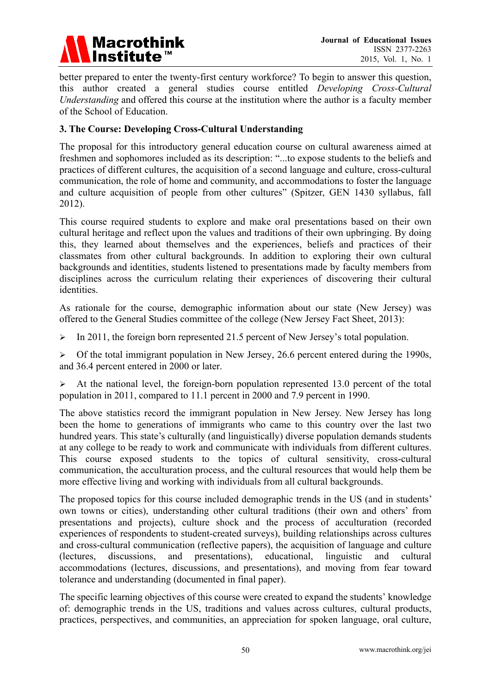

better prepared to enter the twenty-first century workforce? To begin to answer this question, this author created a general studies course entitled *Developing Cross-Cultural Understanding* and offered this course at the institution where the author is a faculty member of the School of Education.

#### **3. The Course: Developing Cross-Cultural Understanding**

The proposal for this introductory general education course on cultural awareness aimed at freshmen and sophomores included as its description: "...to expose students to the beliefs and practices of different cultures, the acquisition of a second language and culture, cross-cultural communication, the role of home and community, and accommodations to foster the language and culture acquisition of people from other cultures" (Spitzer, GEN 1430 syllabus, fall 2012).

This course required students to explore and make oral presentations based on their own cultural heritage and reflect upon the values and traditions of their own upbringing. By doing this, they learned about themselves and the experiences, beliefs and practices of their classmates from other cultural backgrounds. In addition to exploring their own cultural backgrounds and identities, students listened to presentations made by faculty members from disciplines across the curriculum relating their experiences of discovering their cultural identities.

As rationale for the course, demographic information about our state (New Jersey) was offered to the General Studies committee of the college (New Jersey Fact Sheet, 2013):

 $\triangleright$  In 2011, the foreign born represented 21.5 percent of New Jersey's total population.

 $\triangleright$  Of the total immigrant population in New Jersey, 26.6 percent entered during the 1990s, and 36.4 percent entered in 2000 or later.

 $\triangleright$  At the national level, the foreign-born population represented 13.0 percent of the total population in 2011, compared to 11.1 percent in 2000 and 7.9 percent in 1990.

The above statistics record the immigrant population in New Jersey. New Jersey has long been the home to generations of immigrants who came to this country over the last two hundred years. This state's culturally (and linguistically) diverse population demands students at any college to be ready to work and communicate with individuals from different cultures. This course exposed students to the topics of cultural sensitivity, cross-cultural communication, the acculturation process, and the cultural resources that would help them be more effective living and working with individuals from all cultural backgrounds.

The proposed topics for this course included demographic trends in the US (and in students' own towns or cities), understanding other cultural traditions (their own and others' from presentations and projects), culture shock and the process of acculturation (recorded experiences of respondents to student-created surveys), building relationships across cultures and cross-cultural communication (reflective papers), the acquisition of language and culture (lectures, discussions, and presentations), educational, linguistic and cultural accommodations (lectures, discussions, and presentations), and moving from fear toward tolerance and understanding (documented in final paper).

The specific learning objectives of this course were created to expand the students' knowledge of: demographic trends in the US, traditions and values across cultures, cultural products, practices, perspectives, and communities, an appreciation for spoken language, oral culture,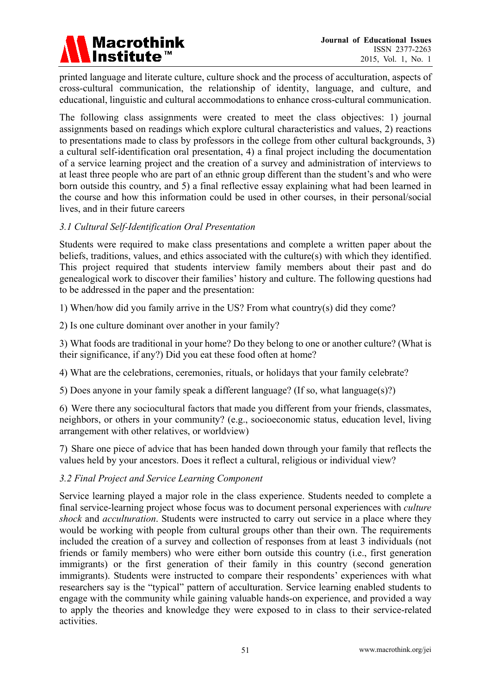

printed language and literate culture, culture shock and the process of acculturation, aspects of cross-cultural communication, the relationship of identity, language, and culture, and educational, linguistic and cultural accommodations to enhance cross-cultural communication.

The following class assignments were created to meet the class objectives: 1) journal assignments based on readings which explore cultural characteristics and values, 2) reactions to presentations made to class by professors in the college from other cultural backgrounds, 3) a cultural self-identification oral presentation, 4) a final project including the documentation of a service learning project and the creation of a survey and administration of interviews to at least three people who are part of an ethnic group different than the student's and who were born outside this country, and 5) a final reflective essay explaining what had been learned in the course and how this information could be used in other courses, in their personal/social lives, and in their future careers

#### *3.1 Cultural Self-Identification Oral Presentation*

Students were required to make class presentations and complete a written paper about the beliefs, traditions, values, and ethics associated with the culture(s) with which they identified. This project required that students interview family members about their past and do genealogical work to discover their families' history and culture. The following questions had to be addressed in the paper and the presentation:

1) When/how did you family arrive in the US? From what country(s) did they come?

2) Is one culture dominant over another in your family?

3) What foods are traditional in your home? Do they belong to one or another culture? (What is their significance, if any?) Did you eat these food often at home?

4) What are the celebrations, ceremonies, rituals, or holidays that your family celebrate?

5) Does anyone in your family speak a different language? (If so, what language(s)?)

6) Were there any sociocultural factors that made you different from your friends, classmates, neighbors, or others in your community? (e.g., socioeconomic status, education level, living arrangement with other relatives, or worldview)

7) Share one piece of advice that has been handed down through your family that reflects the values held by your ancestors. Does it reflect a cultural, religious or individual view?

#### *3.2 Final Project and Service Learning Component*

Service learning played a major role in the class experience. Students needed to complete a final service-learning project whose focus was to document personal experiences with *culture shock* and *acculturation*. Students were instructed to carry out service in a place where they would be working with people from cultural groups other than their own. The requirements included the creation of a survey and collection of responses from at least 3 individuals (not friends or family members) who were either born outside this country (i.e., first generation immigrants) or the first generation of their family in this country (second generation immigrants). Students were instructed to compare their respondents' experiences with what researchers say is the "typical" pattern of acculturation. Service learning enabled students to engage with the community while gaining valuable hands-on experience, and provided a way to apply the theories and knowledge they were exposed to in class to their service-related activities.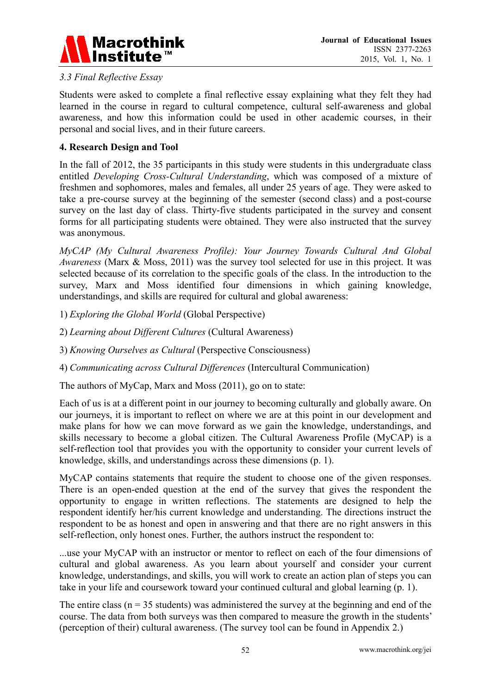

# *3.3 Final Reflective Essay*

Students were asked to complete a final reflective essay explaining what they felt they had learned in the course in regard to cultural competence, cultural self-awareness and global awareness, and how this information could be used in other academic courses, in their personal and social lives, and in their future careers.

#### **4. Research Design and Tool**

In the fall of 2012, the 35 participants in this study were students in this undergraduate class entitled *Developing Cross-Cultural Understanding*, which was composed of a mixture of freshmen and sophomores, males and females, all under 25 years of age. They were asked to take a pre-course survey at the beginning of the semester (second class) and a post-course survey on the last day of class. Thirty-five students participated in the survey and consent forms for all participating students were obtained. They were also instructed that the survey was anonymous.

*MyCAP (My Cultural Awareness Profile): Your Journey Towards Cultural And Global Awareness* (Marx & Moss, 2011) was the survey tool selected for use in this project. It was selected because of its correlation to the specific goals of the class. In the introduction to the survey, Marx and Moss identified four dimensions in which gaining knowledge, understandings, and skills are required for cultural and global awareness:

1) *Exploring the Global World* (Global Perspective)

2) *Learning about Different Cultures* (Cultural Awareness)

3) *Knowing Ourselves as Cultural* (Perspective Consciousness)

4) *Communicating across Cultural Differences* (Intercultural Communication)

The authors of MyCap, Marx and Moss (2011), go on to state:

Each of us is at a different point in our journey to becoming culturally and globally aware. On our journeys, it is important to reflect on where we are at this point in our development and make plans for how we can move forward as we gain the knowledge, understandings, and skills necessary to become a global citizen. The Cultural Awareness Profile (MyCAP) is a self-reflection tool that provides you with the opportunity to consider your current levels of knowledge, skills, and understandings across these dimensions (p. 1).

MyCAP contains statements that require the student to choose one of the given responses. There is an open-ended question at the end of the survey that gives the respondent the opportunity to engage in written reflections. The statements are designed to help the respondent identify her/his current knowledge and understanding. The directions instruct the respondent to be as honest and open in answering and that there are no right answers in this self-reflection, only honest ones. Further, the authors instruct the respondent to:

...use your MyCAP with an instructor or mentor to reflect on each of the four dimensions of cultural and global awareness. As you learn about yourself and consider your current knowledge, understandings, and skills, you will work to create an action plan of steps you can take in your life and coursework toward your continued cultural and global learning (p. 1).

The entire class ( $n = 35$  students) was administered the survey at the beginning and end of the course. The data from both surveys was then compared to measure the growth in the students' (perception of their) cultural awareness. (The survey tool can be found in Appendix 2.)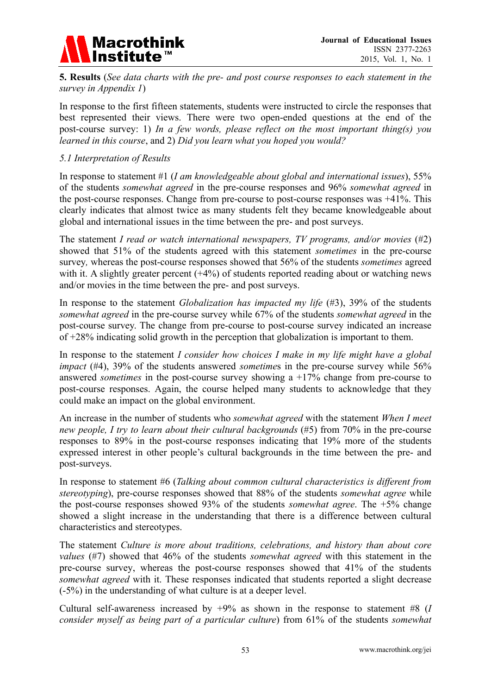

**5. Results** (*See data charts with the pre- and post course responses to each statement in the survey in Appendix 1*)

In response to the first fifteen statements, students were instructed to circle the responses that best represented their views. There were two open-ended questions at the end of the post-course survey: 1) *In a few words, please reflect on the most important thing(s) you learned in this course*, and 2) *Did you learn what you hoped you would?* 

#### *5.1 Interpretation of Results*

In response to statement #1 (*I am knowledgeable about global and international issues*), 55% of the students *somewhat agreed* in the pre-course responses and 96% *somewhat agreed* in the post-course responses. Change from pre-course to post-course responses was +41%. This clearly indicates that almost twice as many students felt they became knowledgeable about global and international issues in the time between the pre- and post surveys.

The statement *I read or watch international newspapers, TV programs, and/or movies* (#2) showed that 51% of the students agreed with this statement *sometimes* in the pre-course survey*,* whereas the post-course responses showed that 56% of the students *sometimes* agreed with it. A slightly greater percent  $(+4%)$  of students reported reading about or watching news and/or movies in the time between the pre- and post surveys.

In response to the statement *Globalization has impacted my life* (#3), 39% of the students *somewhat agreed* in the pre-course survey while 67% of the students *somewhat agreed* in the post-course survey. The change from pre-course to post-course survey indicated an increase of +28% indicating solid growth in the perception that globalization is important to them.

In response to the statement *I consider how choices I make in my life might have a global impact* (#4), 39% of the students answered *sometimes* in the pre-course survey while 56% answered *sometimes* in the post-course survey showing a +17% change from pre-course to post-course responses. Again, the course helped many students to acknowledge that they could make an impact on the global environment.

An increase in the number of students who *somewhat agreed* with the statement *When I meet new people. I try to learn about their cultural backgrounds* (#5) from 70% in the pre-course responses to 89% in the post-course responses indicating that 19% more of the students expressed interest in other people's cultural backgrounds in the time between the pre- and post-surveys.

In response to statement #6 (*Talking about common cultural characteristics is different from stereotyping*), pre-course responses showed that 88% of the students *somewhat agree* while the post-course responses showed 93% of the students *somewhat agree*. The +5% change showed a slight increase in the understanding that there is a difference between cultural characteristics and stereotypes.

The statement *Culture is more about traditions, celebrations, and history than about core values* (#7) showed that 46% of the students *somewhat agreed* with this statement in the pre-course survey, whereas the post-course responses showed that 41% of the students *somewhat agreed* with it. These responses indicated that students reported a slight decrease (-5%) in the understanding of what culture is at a deeper level.

Cultural self-awareness increased by +9% as shown in the response to statement #8 (*I consider myself as being part of a particular culture*) from 61% of the students *somewhat*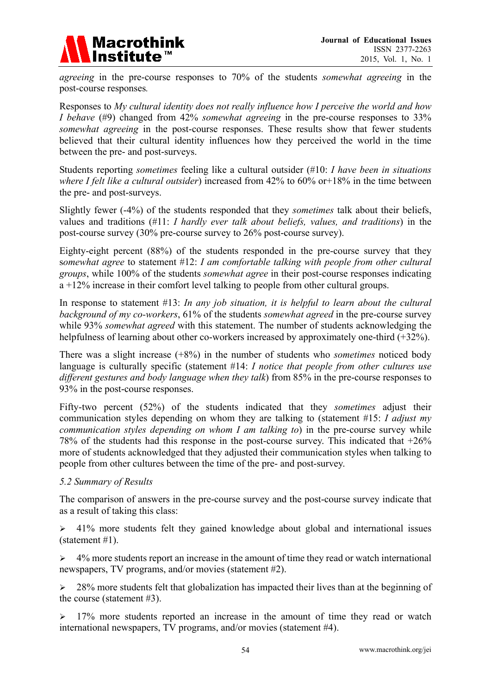

*agreeing* in the pre-course responses to 70% of the students *somewhat agreeing* in the post-course responses*.*

Responses to *My cultural identity does not really influence how I perceive the world and how I behave* (#9) changed from 42% *somewhat agreeing* in the pre-course responses to 33% *somewhat agreeing* in the post-course responses. These results show that fewer students believed that their cultural identity influences how they perceived the world in the time between the pre- and post-surveys.

Students reporting *sometimes* feeling like a cultural outsider (#10: *I have been in situations where I felt like a cultural outsider*) increased from 42% to 60% or+18% in the time between the pre- and post-surveys.

Slightly fewer (-4%) of the students responded that they *sometimes* talk about their beliefs, values and traditions (#11: *I hardly ever talk about beliefs, values, and traditions*) in the post-course survey (30% pre-course survey to 26% post-course survey).

Eighty-eight percent (88%) of the students responded in the pre-course survey that they s*omewhat agree* to statement #12: *I am comfortable talking with people from other cultural groups*, while 100% of the students *somewhat agree* in their post-course responses indicating a +12% increase in their comfort level talking to people from other cultural groups.

In response to statement #13: *In any job situation, it is helpful to learn about the cultural background of my co-workers*, 61% of the students *somewhat agreed* in the pre-course survey while 93% *somewhat agreed* with this statement. The number of students acknowledging the helpfulness of learning about other co-workers increased by approximately one-third (+32%).

There was a slight increase (+8%) in the number of students who *sometimes* noticed body language is culturally specific (statement #14: *I notice that people from other cultures use different gestures and body language when they talk*) from 85% in the pre-course responses to 93% in the post-course responses.

Fifty-two percent (52%) of the students indicated that they *sometimes* adjust their communication styles depending on whom they are talking to (statement #15: *I adjust my communication styles depending on whom I am talking to*) in the pre-course survey while 78% of the students had this response in the post-course survey. This indicated that +26% more of students acknowledged that they adjusted their communication styles when talking to people from other cultures between the time of the pre- and post-survey.

# *5.2 Summary of Results*

The comparison of answers in the pre-course survey and the post-course survey indicate that as a result of taking this class:

 $\geq$  41% more students felt they gained knowledge about global and international issues (statement #1).

 $\geq 4\%$  more students report an increase in the amount of time they read or watch international newspapers, TV programs, and/or movies (statement #2).

 $\geq$  28% more students felt that globalization has impacted their lives than at the beginning of the course (statement #3).

 $> 17\%$  more students reported an increase in the amount of time they read or watch international newspapers, TV programs, and/or movies (statement #4).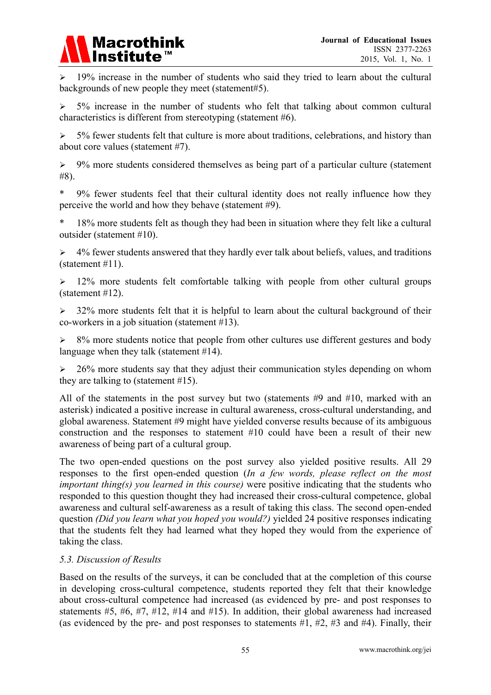

 19% increase in the number of students who said they tried to learn about the cultural backgrounds of new people they meet (statement#5).

 5% increase in the number of students who felt that talking about common cultural characteristics is different from stereotyping (statement #6).

 $>$  5% fewer students felt that culture is more about traditions, celebrations, and history than about core values (statement #7).

 $\geq$  9% more students considered themselves as being part of a particular culture (statement #8).

\* 9% fewer students feel that their cultural identity does not really influence how they perceive the world and how they behave (statement #9).

18% more students felt as though they had been in situation where they felt like a cultural outsider (statement #10).

 $\geq$  4% fewer students answered that they hardly ever talk about beliefs, values, and traditions (statement #11).

 $\geq$  12% more students felt comfortable talking with people from other cultural groups (statement #12).

 $>$  32% more students felt that it is helpful to learn about the cultural background of their co-workers in a job situation (statement #13).

 $\geq$  8% more students notice that people from other cultures use different gestures and body language when they talk (statement #14).

 $\geq$  26% more students say that they adjust their communication styles depending on whom they are talking to (statement #15).

All of the statements in the post survey but two (statements #9 and #10, marked with an asterisk) indicated a positive increase in cultural awareness, cross-cultural understanding, and global awareness. Statement #9 might have yielded converse results because of its ambiguous construction and the responses to statement #10 could have been a result of their new awareness of being part of a cultural group.

The two open-ended questions on the post survey also yielded positive results. All 29 responses to the first open-ended question (*In a few words, please reflect on the most important thing(s) you learned in this course)* were positive indicating that the students who responded to this question thought they had increased their cross-cultural competence, global awareness and cultural self-awareness as a result of taking this class. The second open-ended question *(Did you learn what you hoped you would?)* yielded 24 positive responses indicating that the students felt they had learned what they hoped they would from the experience of taking the class.

# *5.3. Discussion of Results*

Based on the results of the surveys, it can be concluded that at the completion of this course in developing cross-cultural competence, students reported they felt that their knowledge about cross-cultural competence had increased (as evidenced by pre- and post responses to statements #5, #6, #7, #12, #14 and #15). In addition, their global awareness had increased (as evidenced by the pre- and post responses to statements  $#1, #2, #3$  and  $#4$ ). Finally, their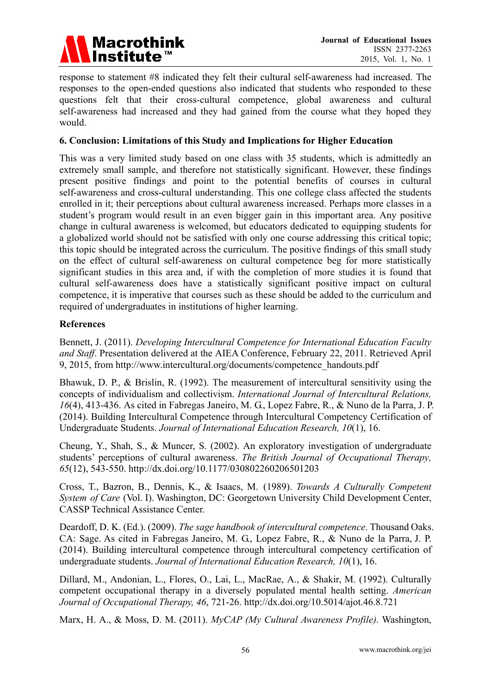

response to statement #8 indicated they felt their cultural self-awareness had increased. The responses to the open-ended questions also indicated that students who responded to these questions felt that their cross-cultural competence, global awareness and cultural self-awareness had increased and they had gained from the course what they hoped they would.

#### **6. Conclusion: Limitations of this Study and Implications for Higher Education**

This was a very limited study based on one class with 35 students, which is admittedly an extremely small sample, and therefore not statistically significant. However, these findings present positive findings and point to the potential benefits of courses in cultural self-awareness and cross-cultural understanding. This one college class affected the students enrolled in it; their perceptions about cultural awareness increased. Perhaps more classes in a student's program would result in an even bigger gain in this important area. Any positive change in cultural awareness is welcomed, but educators dedicated to equipping students for a globalized world should not be satisfied with only one course addressing this critical topic; this topic should be integrated across the curriculum. The positive findings of this small study on the effect of cultural self-awareness on cultural competence beg for more statistically significant studies in this area and, if with the completion of more studies it is found that cultural self-awareness does have a statistically significant positive impact on cultural competence, it is imperative that courses such as these should be added to the curriculum and required of undergraduates in institutions of higher learning.

#### **References**

Bennett, J. (2011). *Developing Intercultural Competence for International Education Faculty and Staff*. Presentation delivered at the AIEA Conference, February 22, 2011. Retrieved April 9, 2015, from http://www.intercultural.org/documents/competence\_handouts.pdf

Bhawuk, D. P., & Brislin, R. (1992). The measurement of intercultural sensitivity using the concepts of individualism and collectivism. *International Journal of Intercultural Relations, 16*(4), 413-436. As cited in Fabregas Janeiro, M. G., Lopez Fabre, R., & Nuno de la Parra, J. P. (2014). Building Intercultural Competence through Intercultural Competency Certification of Undergraduate Students. *Journal of International Education Research, 10*(1), 16.

Cheung, Y., Shah, S., & Muncer, S. (2002). An exploratory investigation of undergraduate students' perceptions of cultural awareness. *The British Journal of Occupational Therapy, 65*(12), 543-550. http://dx.doi.org/10.1177/030802260206501203

Cross, T., Bazron, B., Dennis, K., & Isaacs, M. (1989). *Towards A Culturally Competent System of Care* (Vol. I). Washington, DC: Georgetown University Child Development Center, CASSP Technical Assistance Center.

Deardoff, D. K. (Ed.). (2009). *The sage handbook of intercultural competence*. Thousand Oaks. CA: Sage. As cited in Fabregas Janeiro, M. G., Lopez Fabre, R., & Nuno de la Parra, J. P. (2014). Building intercultural competence through intercultural competency certification of undergraduate students. *Journal of International Education Research, 10*(1), 16.

Dillard, M., Andonian, L., Flores, O., Lai, L., MacRae, A., & Shakir, M. (1992). Culturally competent occupational therapy in a diversely populated mental health setting. *American Journal of Occupational Therapy, 46*, 721-26. http://dx.doi.org/10.5014/ajot.46.8.721

Marx, H. A., & Moss, D. M. (2011). *MyCAP (My Cultural Awareness Profile)*. Washington,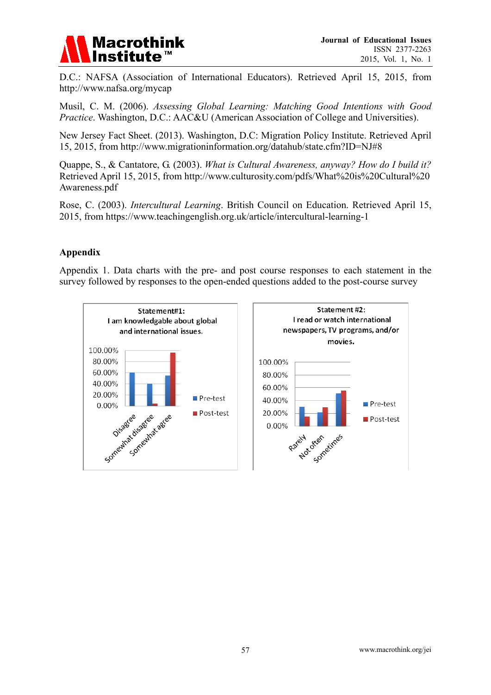

D.C.: NAFSA (Association of International Educators). Retrieved April 15, 2015, from http://www.nafsa.org/mycap

Musil, C. M. (2006). *Assessing Global Learning: Matching Good Intentions with Good Practice*. Washington, D.C.: AAC&U (American Association of College and Universities).

New Jersey Fact Sheet. (2013). Washington, D.C: Migration Policy Institute. Retrieved April 15, 2015, from http://www.migrationinformation.org/datahub/state.cfm?ID=NJ#8

Quappe, S., & Cantatore, G. (2003). *What is Cultural Awareness, anyway? How do I build it?*  Retrieved April 15, 2015, from http://www.culturosity.com/pdfs/What%20is%20Cultural%20 Awareness.pdf

Rose, C. (2003). *Intercultural Learning*. British Council on Education. Retrieved April 15, 2015, from https://www.teachingenglish.org.uk/article/intercultural-learning-1

# **Appendix**

Appendix 1. Data charts with the pre- and post course responses to each statement in the survey followed by responses to the open-ended questions added to the post-course survey

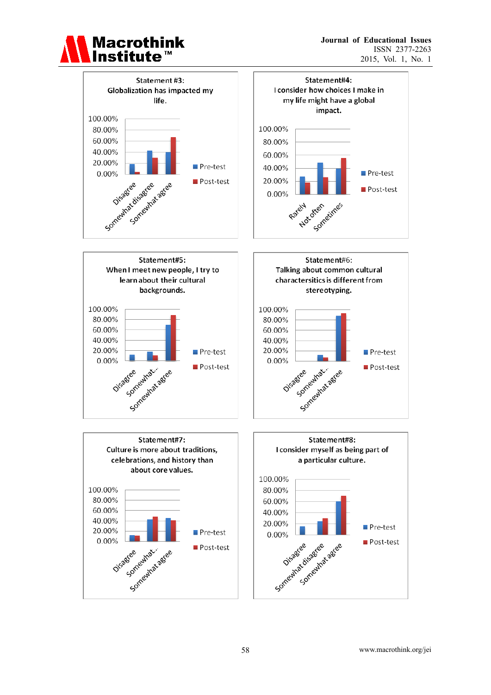

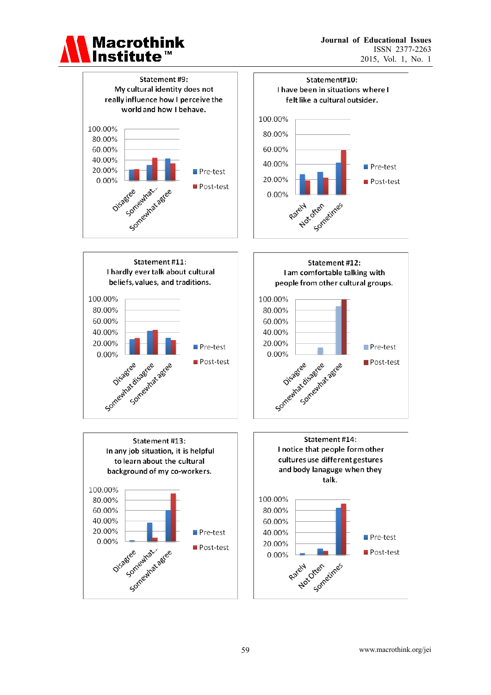

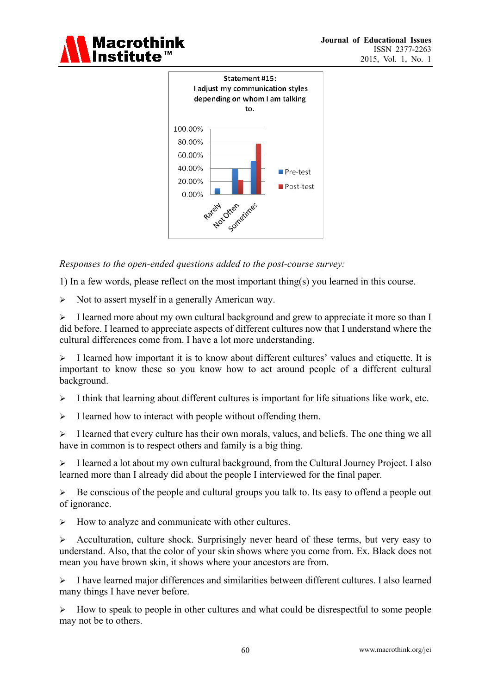



*Responses to the open-ended questions added to the post-course survey:* 

1) In a few words, please reflect on the most important thing(s) you learned in this course.

 $\triangleright$  Not to assert myself in a generally American way.

 $\triangleright$  I learned more about my own cultural background and grew to appreciate it more so than I did before. I learned to appreciate aspects of different cultures now that I understand where the cultural differences come from. I have a lot more understanding.

 $\triangleright$  I learned how important it is to know about different cultures' values and etiquette. It is important to know these so you know how to act around people of a different cultural background.

- $\triangleright$  I think that learning about different cultures is important for life situations like work, etc.
- $\triangleright$  I learned how to interact with people without offending them.

 $\triangleright$  I learned that every culture has their own morals, values, and beliefs. The one thing we all have in common is to respect others and family is a big thing.

 $\triangleright$  I learned a lot about my own cultural background, from the Cultural Journey Project. I also learned more than I already did about the people I interviewed for the final paper.

 $\triangleright$  Be conscious of the people and cultural groups you talk to. Its easy to offend a people out of ignorance.

 $\triangleright$  How to analyze and communicate with other cultures.

 $\triangleright$  Acculturation, culture shock. Surprisingly never heard of these terms, but very easy to understand. Also, that the color of your skin shows where you come from. Ex. Black does not mean you have brown skin, it shows where your ancestors are from.

 $\triangleright$  I have learned major differences and similarities between different cultures. I also learned many things I have never before.

 $\triangleright$  How to speak to people in other cultures and what could be disrespectful to some people may not be to others.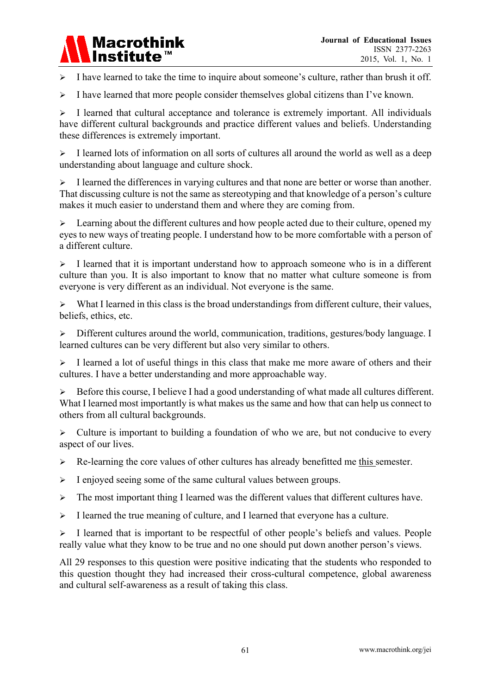# **Macrothink Institute**

 $\triangleright$  I have learned to take the time to inquire about someone's culture, rather than brush it off.

 $\triangleright$  I have learned that more people consider themselves global citizens than I've known.

 $\triangleright$  I learned that cultural acceptance and tolerance is extremely important. All individuals have different cultural backgrounds and practice different values and beliefs. Understanding these differences is extremely important.

 $\triangleright$  I learned lots of information on all sorts of cultures all around the world as well as a deep understanding about language and culture shock.

 $\triangleright$  I learned the differences in varying cultures and that none are better or worse than another. That discussing culture is not the same as stereotyping and that knowledge of a person's culture makes it much easier to understand them and where they are coming from.

 $\triangleright$  Learning about the different cultures and how people acted due to their culture, opened my eyes to new ways of treating people. I understand how to be more comfortable with a person of a different culture.

 $\triangleright$  I learned that it is important understand how to approach someone who is in a different culture than you. It is also important to know that no matter what culture someone is from everyone is very different as an individual. Not everyone is the same.

 $\triangleright$  What I learned in this class is the broad understandings from different culture, their values, beliefs, ethics, etc.

 Different cultures around the world, communication, traditions, gestures/body language. I learned cultures can be very different but also very similar to others.

 $\geq$  I learned a lot of useful things in this class that make me more aware of others and their cultures. I have a better understanding and more approachable way.

Before this course, I believe I had a good understanding of what made all cultures different. What I learned most importantly is what makes us the same and how that can help us connect to others from all cultural backgrounds.

 $\triangleright$  Culture is important to building a foundation of who we are, but not conducive to every aspect of our lives.

 $\triangleright$  Re-learning the core values of other cultures has already benefitted me this semester.

 $\triangleright$  I enjoyed seeing some of the same cultural values between groups.

> The most important thing I learned was the different values that different cultures have.

 $\triangleright$  I learned the true meaning of culture, and I learned that everyone has a culture.

> I learned that is important to be respectful of other people's beliefs and values. People really value what they know to be true and no one should put down another person's views.

All 29 responses to this question were positive indicating that the students who responded to this question thought they had increased their cross-cultural competence, global awareness and cultural self-awareness as a result of taking this class.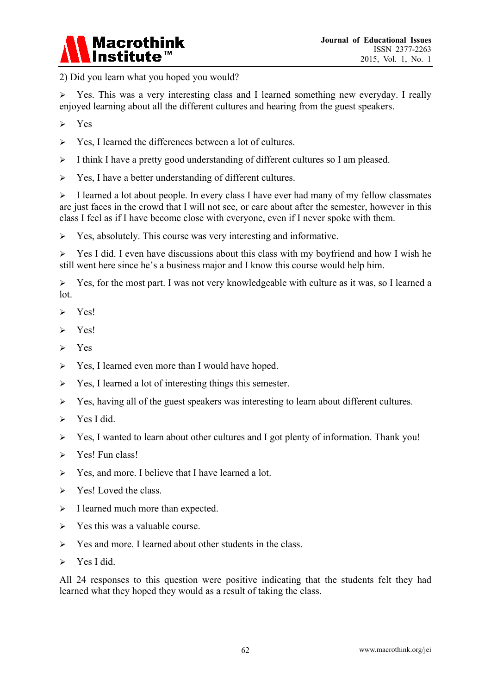

2) Did you learn what you hoped you would?

 $\triangleright$  Yes. This was a very interesting class and I learned something new everyday. I really enjoyed learning about all the different cultures and hearing from the guest speakers.

- $\triangleright$  Yes
- $\triangleright$  Yes, I learned the differences between a lot of cultures.
- $\geq$  I think I have a pretty good understanding of different cultures so I am pleased.
- $\triangleright$  Yes, I have a better understanding of different cultures.

 $\triangleright$  I learned a lot about people. In every class I have ever had many of my fellow classmates are just faces in the crowd that I will not see, or care about after the semester, however in this class I feel as if I have become close with everyone, even if I never spoke with them.

 $\triangleright$  Yes, absolutely. This course was very interesting and informative.

 $\triangleright$  Yes I did. I even have discussions about this class with my boyfriend and how I wish he still went here since he's a business major and I know this course would help him.

 $\triangleright$  Yes, for the most part. I was not very knowledgeable with culture as it was, so I learned a lot.

- $\triangleright$  Yes!
- $\triangleright$  Yes!
- $\triangleright$  Yes
- $\triangleright$  Yes, I learned even more than I would have hoped.
- $\triangleright$  Yes, I learned a lot of interesting things this semester.
- $\triangleright$  Yes, having all of the guest speakers was interesting to learn about different cultures.
- > Yes I did.
- $\triangleright$  Yes, I wanted to learn about other cultures and I got plenty of information. Thank you!
- $\triangleright$  Yes! Fun class!
- $\triangleright$  Yes, and more. I believe that I have learned a lot.
- $\triangleright$  Yes! Loved the class.
- $\triangleright$  I learned much more than expected.
- $\triangleright$  Yes this was a valuable course.
- $\triangleright$  Yes and more. I learned about other students in the class.
- $\triangleright$  Yes I did.

All 24 responses to this question were positive indicating that the students felt they had learned what they hoped they would as a result of taking the class.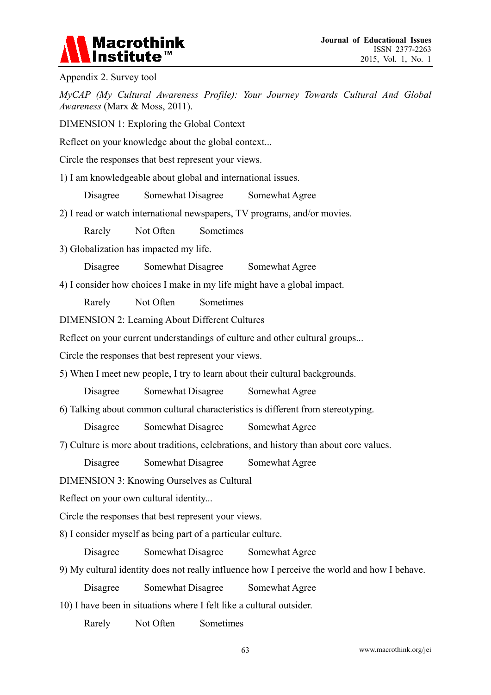# **Macrothink** Institu

Appendix 2. Survey tool

*MyCAP (My Cultural Awareness Profile): Your Journey Towards Cultural And Global Awareness* (Marx & Moss, 2011).

DIMENSION 1: Exploring the Global Context

Reflect on your knowledge about the global context...

Circle the responses that best represent your views.

1) I am knowledgeable about global and international issues.

Disagree Somewhat Disagree Somewhat Agree

2) I read or watch international newspapers, TV programs, and/or movies.

Rarely Not Often Sometimes

3) Globalization has impacted my life.

Disagree Somewhat Disagree Somewhat Agree

4) I consider how choices I make in my life might have a global impact.

Rarely Not Often Sometimes

DIMENSION 2: Learning About Different Cultures

Reflect on your current understandings of culture and other cultural groups...

Circle the responses that best represent your views.

5) When I meet new people, I try to learn about their cultural backgrounds.

Disagree Somewhat Disagree Somewhat Agree

6) Talking about common cultural characteristics is different from stereotyping.

Disagree Somewhat Disagree Somewhat Agree

7) Culture is more about traditions, celebrations, and history than about core values.

Disagree Somewhat Disagree Somewhat Agree

DIMENSION 3: Knowing Ourselves as Cultural

Reflect on your own cultural identity...

Circle the responses that best represent your views.

8) I consider myself as being part of a particular culture.

Disagree Somewhat Disagree Somewhat Agree

9) My cultural identity does not really influence how I perceive the world and how I behave.

Disagree Somewhat Disagree Somewhat Agree

10) I have been in situations where I felt like a cultural outsider.

Rarely Not Often Sometimes